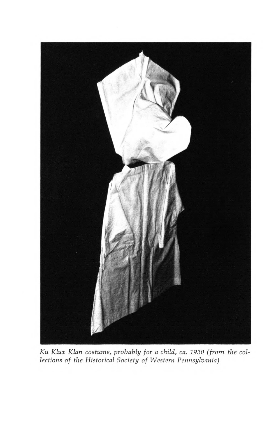

Ku Klux Klan costume, probably for a child, ca. <sup>1930</sup> (from the collections of the Historical Society of Western Pennsylvania)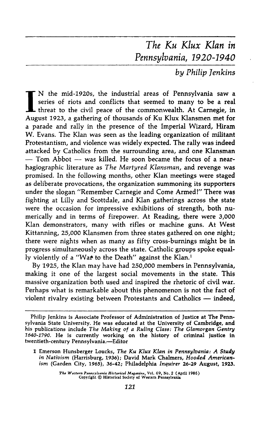# The Ku Klux Klan in Pennsylvania, 1920-1940

by Philip Jenkins

IN the mid-1920s, the industrial areas of Pennsylvania saw a series of riots and conflicts that seemed to many to be a real threat to the civil peace of the commonwealth. At Carnegie, in series of riots and conflicts that seemed to many to be a real **L** threat to the civil peace of the commonwealth. At Carnegie, in August 1923, a gathering of thousands of Ku Klux Klansmen met for a parade and rally in the presence of the Imperial Wizard, Hiram W. Evans. The Klan was seen as the leading organization of militant Protestantism, and violence was widely expected. The rally was indeed attacked by Catholics from the surrounding area, and one Klansman  $-$  Tom Abbot  $-$  was killed. He soon became the focus of a nearhagiographic literature as The Martyred Klansman, and revenge was promised. In the following months, other Klan meetings were staged as deliberate provocations, the organization summoning its supporters under the slogan "Remember Carnegie and Come Armed!" There was fighting at Lilly and Scottdale, and Klan gatherings across the state were the occasion for impressive exhibitions of strength, both numerically and in terms of firepower. At Reading, there were 3,000 Klan demonstrators, many with rifles or machine guns. At West Kittanning, 25,000 Klansmen from three states gathered on one night; there were nights when as many as fifty cross-burnings might be in progress simultaneously across the state. Catholic groups spoke equally violently of a "Wat to the Death" against the Klan.<sup>1</sup>

By 1925, the Klan may have had 250,000 members in Pennsylvania, making it one of the largest social movements in the state. This massive organization both used and inspired the rhetoric of civil war. Perhaps what is remarkable about this phenomenon is not the fact of violent rivalry existing between Protestants and Catholics — indeed,

T*he Western Pennsylvania Historical Maga*zi*ne*, Vol. 69, No. 2 (April 1986)<br>Copyright © Historical Society of Western Pennsylvania

Philip Jenkins is Associate Professor of Administration of Justice at The Pennsylvania State University. He was educated at the University of Cambridge, and his publications include The Making of <sup>a</sup> Ruling Class: The Glamorgan Gentry 1640-1790. He is currently working on the history of criminal justice in twentieth-century Pennsylvania. —Editor

<sup>1</sup> Emerson Hunsberger Loucks, The Ku Klux Klan in Pennsylvania: A Study in Nativism (Harrisburg, 1936); David Mark Chalmers, Hooded Americanism (Garden City, 1965), 36-42; Philadelphia Inquirer 26-29 August, 1923.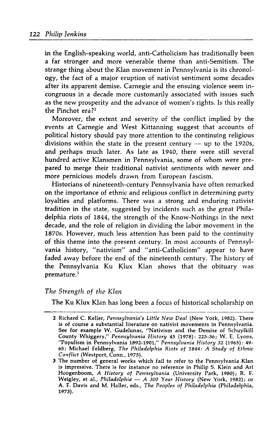in the English-speaking world, anti-Catholicism has traditionally been a far stronger and more venerable theme than anti-Semitism. The strange thing about the Klan movement in Pennsylvania is its chronology, the fact of a major eruption of nativist sentiment some decades after its apparent demise. Carnegie and the ensuing violence seem incongruous in a decade more customarily associated with issues such as the new prosperity and the advance of women's rights. Is this really the Pinchot era?<sup>2</sup>

Moreover, the extent and seventy of the conflict implied by the events at Carnegie and West Kittanning suggest that accounts of political history should pay more attention to the continuing religious divisions within the state in the present century — up to the 1920s, and perhaps much later. As late as 1940, there were still several hundred active Klansmen in Pennsylvania, some of whom were prepared to merge their traditional nativist sentiments with newer and more pernicious models drawn from European fascism.

Historians of nineteenth-century Pennsylvania have often remarked on the importance of ethnic and religious conflict in determining party loyalties and platforms. There was a strong and enduring nativist tradition in the state, suggested by incidents such as the great Philadelphia riots of 1844, the strength of the Know-Nothings in the next decade, and the role of religion in dividing the labor movement in the 1870s. However, much less attention has been paid to the continuity of this theme into the present century. In most accounts of Pennsylvania history, "nativism" and "anti-Catholicism" appear to have faded away before the end of the nineteenth century. The history of the Pennsylvania Ku Klux Klan shows that the obituary was premature. <sup>3</sup>

### The Strength of the Klan

The Ku Klux Klan has long been a focus of historical scholarship on

<sup>2</sup> Richard C. Keller, Pennsylvania's Little New Deal (New York, 1982). There is of course a substantial literature on nativist movements in Pennsylvania. See for example W. Gudelunas, "Nativism and the Demise of Schuylkill County Whiggery," Pennsylvania History 45 (1978): 225-36; W. E. Lyons, "Populism in Pennsylvania 1892-1901," Pennsylvania History 32 (1965): 49-65; Michael Feldberg, The Philadelphia Riots of 1844: A Study of Ethnic Conflict (Westport, Conn., 1975).

<sup>3</sup> The number of general works which fail to refer to the Pennsylvania Klan is impressive. There is for instance no reference in Philip S. Klein and Ari Hoogenboom, A History of Pennsylvania (University Park, 1980); R. F. Weigley, et al., Philadelphia — A <sup>300</sup> Year History (New York, 1982); or A. F. Davis and M.Haller, eds., The Peoples of Philadelphia (Philadelphia, 1973).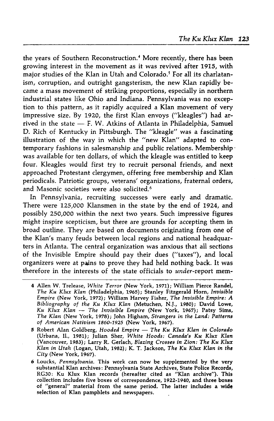the years of Southern Reconstruction.<sup>4</sup> More recently, there has been growing interest in the movement as it was revived after 1915, with major studies of the Klan in Utah and Colorado.<sup>5</sup> For all its charlatanism, corruption, and outright gangsterism, the new Klan rapidly became a mass movement of striking proportions, especially in northern industrial states like Ohio and Indiana. Pennsylvania was no exception to this pattern, as it rapidly acquired a Klan movement of very impressive size. By 1920, the first Klan envoys ("kleagles") had arrived in the state  $-$  F. W. Atkins of Atlanta in Philadelphia, Samuel D. Rich of Kentucky in Pittsburgh. The "kleagle" was a fascinating illustration of the way in which the "new Klan" adapted to contemporary fashions in salesmanship and public relations. Membership was available for ten dollars, of which the kleagle was entitled to keep four. Kleagles would first try to recruit personal friends, and next approached Protestant clergymen, offering free membership and Klan periodicals. Patriotic groups, veterans' organizations, fraternal orders, and Masonic societies were also solicited.<sup>6</sup>

In Pennsylvania, recruiting successes were early and dramatic. There were 125,000 Klansmen in the state by the end of 1924, and possibly 250,000 within the next two years. Such impressive figures might inspire scepticism, but there are grounds for accepting them in broad outline. They are based on documents originating from one of the Klan's many feuds between local regions and national headquarters inAtlanta. The central organization was anxious that all sections of the Invisible Empire should pay their dues ("taxes"), and local organizers were at pains to prove they had held nothing back. It was therefore in the interests of the state officials to under-report mem-

- 4 Allen W. Trelease, White Terror (New York, 1971); William Pierce Randel, The Ku Klux Klan (Philadelphia, 1965); Stanley Fitzgerald Horn, Invisible Empire (New York, 1972); William Harvey Fisher, The Invisible Empire: A Bibliography of the Ku Klux Klan (Metuchen, N.J., 1980); David Lowe, Ku Klux Klan — The Invisible Empire (New York, 1967); Patsy Sims, The Klan (New York, 1978); John Higham, Strangers in the Land: Patterns of American Nativism 1860-1925 (New York, 1967).
- 5 Robert Alan Goldberg, Hooded Empire The Ku Klux Klan in Colorado (Urbana, II., 1981); Julian Sher, White Hoods: Canada's Ku Klux Klan (Vancouver, 1983); Larry R. Gerlach, Blazing Crosses in Zion: The Ku Klux Klan in Utah (Logan, Utah, 1982); K. T. Jackson, The Ku Klux Klan in the City (New York, 1967).
- 6 Loucks, Pennsylvania. This work can now be supplemented by the very substantial Klan archives: Pennsylvania State Archives, State Police Records, RG30: Ku Klux Klan records (hereafter cited as "Klan archive"). This collection includes five boxes of correspondence, 1922-1940, and three boxes of "general" material from the same period. The latter includes a wide selection of Klan pamphlets and newspapers.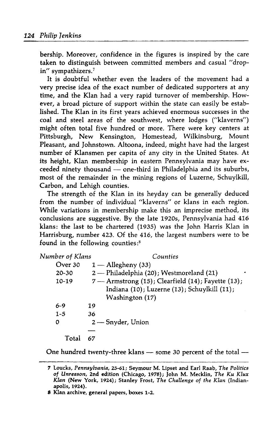bership. Moreover, confidence in the figures is inspired by the care taken to distinguish between committed members and casual "dropin" sympathizers.<sup>7</sup>

It is doubtful whether even the leaders of the movement had <sup>a</sup> very precise idea of the exact number of dedicated supporters at any time, and the Klan had a very rapid turnover of membership. However, a broad picture of support within the state can easily be established. The Klan in its first years achieved enormous successes in the coal and steel areas of the southwest, where lodges ("klaverns") might often total five hundred or more. There were key centers at Pittsburgh, New Kensington, Homestead, Wilkinsburg, Mount Pleasant, and Johnstown. Altoona, indeed, might have had the largest number of Klansmen per capita of any city in the United States. At its height, Klan membership in eastern Pennsylvania may have exceeded ninety thousand — one-third inPhiladelphia and its suburbs, most of the remainder in the mining regions of Luzerne, Schuylkill, Carbon, and Lehigh counties.

The strength of the Klan in its heyday can be generally deduced from the number of individual "klaverns" or klans in each region. While variations in membership make this an imprecise method, its conclusions are suggestive. By the late 1920s, Pennsylvania had 416 klans: the last to be chartered (1935) was the John Harris Klan in Harrisburg, number 423. Of the 416, the largest numbers were to be found in the following counties:<sup>8</sup>

| Number of Klans | Counties                                                                                                              |
|-----------------|-----------------------------------------------------------------------------------------------------------------------|
| Over 30         | $1 -$ Allegheny (33)                                                                                                  |
| 20-30           | 2 — Philadelphia (20); Westmoreland (21)                                                                              |
| 10-19           | 7 - Armstrong (15); Clearfield (14); Fayette (13);<br>Indiana (10); Luzerne (13); Schuylkill (11);<br>Washington (17) |
| 6-9             | 19                                                                                                                    |
| $1 - 5$         | 36                                                                                                                    |
| 0               | $2$ — Snyder, Union                                                                                                   |
| Total           | 67                                                                                                                    |

One hundred twenty-three klans — some <sup>30</sup> percent of the total —

<sup>7</sup> Loucks, Pennsylvania, 25-61; Seymour M. Lipset and Earl Raab, The Politics of Unreason, 2nd edition (Chicago, 1978); John M. Mecklin, The Ku Klux Klan (New York, 1924); Stanley Frost, The Challenge of the Klan (Indianapolis, 1924).

<sup>S</sup> Klanarchive, general papers, boxes 1-2.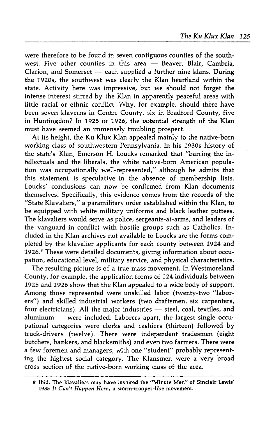were therefore to be found in seven contiguous counties of the southwest. Five other counties in this area — Beaver, Blair, Cambria, Clarion, and Somerset — each supplied <sup>a</sup> further nine klans. During the 1920s, the southwest was clearly the Klan heartland within the state. Activity here was impressive, but we should not forget the intense interest stirred by the Klan in apparently peaceful areas with little racial or ethnic conflict. Why, for example, should there have been seven klaverns in Centre County, six in Bradford County, five in Huntingdon? In 1925 or 1926, the potential strength of the Klan must have seemed an immensely troubling prospect.

At its height, the Ku Klux Klan appealed mainly to the native-born working class of southwestern Pennsylvania. In his 1930s history of the state's Klan, Emerson H. Loucks remarked that "barring the intellectuals and the liberals, the white native-born American population was occupationally well-represented,'' although he admits that this statement is speculative in the absence of membership lists. Loucks' conclusions can now be confirmed from Klan documents themselves. Specifically, this evidence comes from the records of the "State Klavaliers," a paramilitary order established within the Klan, to be equipped with white military uniforms and black leather puttees. The klavaliers would serve as police, sergeants-at-arms, and leaders of the vanguard in conflict with hostile groups such as Catholics. Included in the Klan archives not available to Loucks are the forms completed by the klavalier applicants for each county between 1924 and 1926.<sup>9</sup> These were detailed documents, giving information about occupation, educational level, military service, and physical characteristics.

The resulting picture is of a true mass movement. In Westmoreland County, for example, the application forms of 124 individuals between 1925 and 1926 show that the Klan appealed to a wide body of support. Among those represented were unskilled labor (twenty-two "laborers") and skilled industrial workers (two draftsmen, six carpenters, four electricians). All the major industries - steel, coal, textiles, and aluminum — were included. Laborers apart, the largest single occupational categories were clerks and cashiers (thirteen) followed by truck-drivers (twelve). There were independent tradesmen (eight butchers, bankers, and blacksmiths) and even two farmers. There were a few foremen and managers, with one "student" probably representing the highest social category. The Klansmen were a very broad cross section of the native-born working class of the area.

<sup>9</sup> Ibid.The klavaliers may have inspired the "Minute Men" of Sinclair Lewis' 1935 It Can't Happen Here, a storm-trooper-like movement.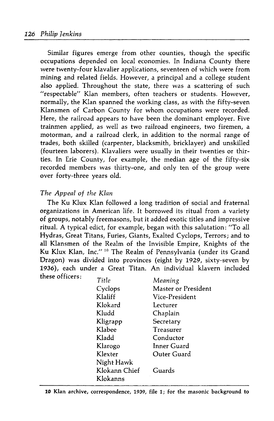Similar figures emerge from other counties, though the specific occupations depended on local economies. In Indiana County there were twenty-four klavalier applications, seventeen of which were from mining and related fields. However, <sup>a</sup> principal and a college student also applied. Throughout the state, there was a scattering of such "respectable" Klan members, often teachers or students. However, normally, the Klan spanned the working class, as with the fifty-seven Klansmen of Carbon County for whom occupations were recorded. Here, the railroad appears to have been the dominant employer. Five trainmen applied, as well as two railroad engineers, two firemen, a motorman, and a railroad clerk, in addition to the normal range of trades, both skilled (carpenter, blacksmith, bricklayer) and unskilled (fourteen laborers). Klavaliers were usually in their twenties or thirties. In Erie County, for example, the median age of the fifty-six recorded members was thirty-one, and only ten of the group were over forty-three years old.

# The Appeal of the Klan

The Ku Klux Klan followed a long tradition of social and fraternal organizations in American life. It borrowed its ritual from <sup>a</sup> variety of groups, notably freemasons, but it added exotic titles and impressive ritual. A typical edict, for example, began with this salutation: "To all Hydras, Great Titans, Furies, Giants, Exalted Cyclops, Terrors; and to all Klansmen of the Realm of the Invisible Empire, Knights of the Ku Klux Klan, Inc."<sup>10</sup> The Realm of Pennsylvania (under its Grand Dragon) was divided into provinces (eight by 1929, sixty-seven by 1936), each under <sup>a</sup> Great Titan. An individual klavern included these officers: \_.

| Title         | Meaning             |
|---------------|---------------------|
| Cyclops       | Master or President |
| Klaliff       | Vice-President      |
| Klokard       | Lecturer            |
| Kludd         | Chaplain            |
| Kligrapp      | Secretary           |
| Klabee        | Treasurer           |
| Kladd         | Conductor           |
| Klarogo       | Inner Guard         |
| Klexter       | Outer Guard         |
| Night Hawk    |                     |
| Klokann Chief | Guards              |
| Klokanns      |                     |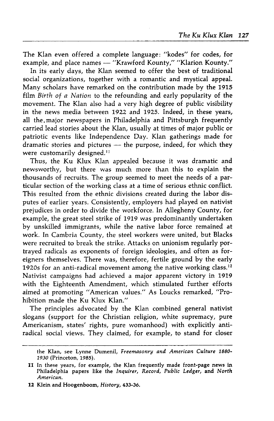The Klan even offered a complete language: "kodes" for codes, for example, and place names — "Krawford Kounty," "Klarion Kounty."

In its early days, the Klan seemed to offer the best of traditional social organizations, together with a romantic and mystical appeal. Many scholars have remarked on the contribution made by the 1915 film Birth of a Nation to the refounding and early popularity of the movement. The Klan also had a very high degree of public visibility in the news media between <sup>1922</sup> and 1925. Indeed, in these years, all the major newspapers in Philadelphia and Pittsburgh frequently carried lead stories about the Klan, usually at times of major public or patriotic events like Independence Day. Klan gatherings made for dramatic stories and pictures — the purpose, indeed, for which they were customarily designed.<sup>11</sup>

Thus, the Ku Klux Klan appealed because it was dramatic and newsworthy, but there was much more than this to explain the thousands of recruits. The group seemed to meet the needs of a particular section of the working class at <sup>a</sup> time of serious ethnic conflict. This resulted from the ethnic divisions created during the labor disputes of earlier years. Consistently, employers had played on nativist prejudices in order to divide the workforce. In Allegheny County, for example, the great steel strike of 1919 was predominantly undertaken by unskilled immigrants, while the native labor force remained at work. In Cambria County, the steel workers were united, but Blacks were recruited to break the strike. Attacks on unionism regularly portrayed radicals as exponents of foreign ideologies, and often as foreigners themselves. There was, therefore, fertile ground by the early 1920s for an anti-radical movement among the native working class.<sup>12</sup> Nativist campaigns had achieved <sup>a</sup> major apparent victory in 1919 with the Eighteenth Amendment, which stimulated further efforts aimed at promoting "American values." As Loucks remarked, "Prohibition made the Ku Klux Klan."

The principles advocated by the Klan combined general nativist slogans (support for the Christian religion, white supremacy, pure Americanism, states' rights, pure womanhood) with explicitly antiradical social views. They claimed, for example, to stand for closer

the Klan, see Lynne Dumenil, Freemasonry and American Culture 1880- 1930 (Princeton, 1985).

<sup>11</sup> In these years, for example, the Klan frequently made front-page news in Philadelphia papers like the Inquirer, Record, Public Ledger, and North American.

<sup>12</sup> Klein and Hoogenboom, History, 433-36.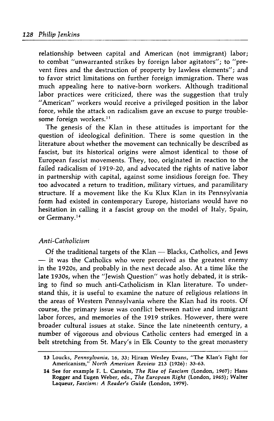relationship between capital and American (not immigrant) labor; to combat "unwarranted strikes by foreign labor agitators"; to "prevent fires and the destruction of property by lawless elements"; and to favor strict limitations on further foreign immigration. There was much appealing here to native-born workers. Although traditional labor practices were criticized, there was the suggestion that truly "American" workers would receive a privileged position in the labor force, while the attack on radicalism gave an excuse to purge troublesome foreign workers.<sup>13</sup>

The genesis of the Klan in these attitudes is important for the question of ideological definition. There is some question in the literature about whether the movement can technically be described as fascist, but its historical origins were almost identical to those of European fascist movements. They, too, originated in reaction to the failed radicalism of 1919-20, and advocated the rights of native labor in partnership with capital, against some insidious foreign foe. They too advocated a return to tradition, military virtues, and paramilitary structure. If a movement like the Ku Klux Klan in its Pennsylvania form had existed in contemporary Europe, historians would have no hesitation in calling it a fascist group on the model of Italy, Spain, or Germany.<sup>14</sup>

#### Anti-Catholicism

Of the traditional targets of the Klan — Blacks, Catholics, and Jews  $-$  it was the Catholics who were perceived as the greatest enemy in the 1920s, and probably in the next decade also. At a time like the late 1930s, when the "Jewish Question" was hotly debated, it is striking to find so much anti-Catholicism in Klan literature. To understand this, it is useful to examine the nature of religious relations in the areas of Western Pennsylvania where the Klan had its roots. Of course, the primary issue was conflict between native and immigrant labor forces, and memories of the 1919 strikes. However, there were broader cultural issues at stake. Since the late nineteenth century, a number of vigorous and obvious Catholic centers had emerged in <sup>a</sup> belt stretching from St. Mary's in Elk County to the great monastery

<sup>13</sup> Loucks, Pennsylvania, 16, 33; Hiram Wesley Evans, "The Klan's Fight for Americanism/' North American Review 213 (1926): 33-63.

<sup>14</sup> See for example F. L. Carstein, The Rise of Fascism (London, 1967); Hans Rogger and Eugen Weber, eds., The European Right (London, 1965); Walter Laqueur, Fascism: A Reader's Guide (London, 1979).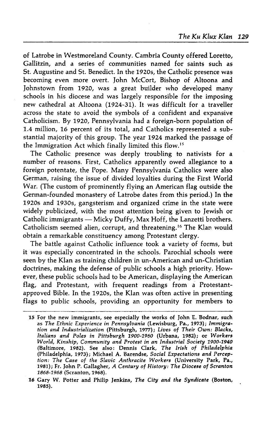of Latrobe in Westmoreland County. Cambria County offered Loretto, Gallitzin, and a series of communities named for saints such as St. Augustine and St. Benedict. In the 1920s, the Catholic presence was becoming even more overt. John McCort, Bishop of Altoona and Johnstown from 1920, was <sup>a</sup> great builder who developed many schools in his diocese and was largely responsible for the imposing new cathedral at Altoona (1924-31). It was difficult for a traveller across the state to avoid the symbols of a confident and expansive Catholicism. By 1920, Pennsylvania had a foreign-born population of 1.4 million,16 percent of its total, and Catholics represented a substantial majority of this group. The year 1924 marked the passage of the Immigration Act which finally limited this flow.<sup>15</sup>

The Catholic presence was deeply troubling to nativists for a number of reasons. First, Catholics apparently owed allegiance to a foreign potentate, the Pope. Many Pennsylvania Catholics were also German, raising the issue of divided loyalties during the First World War. (The custom of prominently flying an American flag outside the German-founded monastery of Latrobe dates from this period.) In the 1920s and 1930s, gangsterism and organized crime in the state were widely publicized, with the most attention being given to Jewish or Catholic immigrants — Micky Duffy, Max Hoff, the Lanzetti brothers. Catholicism seemed alien, corrupt, and threatening. <sup>16</sup> The Klan would obtain a remarkable constituency among Protestant clergy.

The battle against Catholic influence took a variety of forms, but it was especially concentrated in the schools. Parochial schools were seen by the Klan as training children in un-American and un-Christian doctrines, making the defense of public schools <sup>a</sup> high priority. However, these public schools had to be American, displaying the American flag, and Protestant, with frequent readings from a Protestantapproved Bible. In the 1920s, the Klan was often active in presenting flags to public schools, providing an opportunity for members to

<sup>15</sup> For the new immigrants, see especially the works of John E. Bodnar, such as The Ethnic Experience in Pennsylvania (Lewisburg, Pa., 1973); Immigration and Industrialization (Pittsburgh, 1977); Lives of Their Own: Blacks, Italians and Poles in Pittsburgh 1900-1960 (Urbana, 1982); or Workers World, Kinship, Community and Protest in an Industrial Society 1900-1940 (Baltimore, 1982). See also: Dennis Clark, The Irish of Philadelphia (Philadelphia, 1973); Michael A. Barendse, Social Expectations and Perception: The Case of the Slavic Anthracite Workers (University Park, Pa., 1981); Fr. John P. Gallagher, A Century of History: The Diocese of Scranton 1868-1968 (Scranton, 1968).

<sup>16</sup> Gary W. Potter and Philip Jenkins, The City and the Syndicate (Boston, 1985).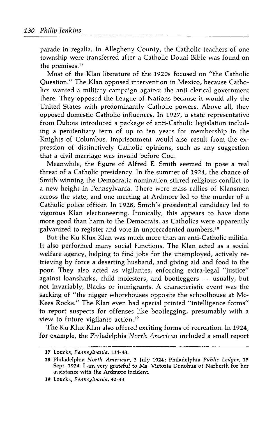parade in regalia. In Allegheny County, the Catholic teachers of one township were transferred after a Catholic Douai Bible was found on the premises.<sup>17</sup>

Most of the Klan literature of the 1920s focused on "the Catholic Question." The Klan opposed intervention in Mexico,because Catholics wanted a military campaign against the anti-clerical government there. They opposed the League of Nations because it would ally the United States with predominantly Catholic powers. Above all, they opposed domestic Catholic influences. In1927, a state representative from Dubois introduced a package of anti-Catholic legislation including <sup>a</sup> penitentiary term of up to ten years for membership in the Knights of Columbus. Imprisonment would also result from the expression of distinctively Catholic opinions, such as any suggestion that a civil marriage was invalid before God.

Meanwhile, the figure of Alfred E. Smith seemed to pose a real threat of a Catholic presidency. In the summer of 1924, the chance of Smith winning the Democratic nomination stirred religious conflict to <sup>a</sup> new height in Pennsylvania. There were mass rallies of Klansmen across the state, and one meeting at Ardmore led to the murder of a Catholic police officer. In 1928, Smith's presidential candidacy led to vigorous Klan electioneering. Ironically, this appears to have done more good than harm to the Democrats, as Catholics were apparently galvanized to register and vote in unprecedented numbers.<sup>18</sup>

But the Ku Klux Klan was much more than an anti-Catholic militia. It also performed many social functions. The Klan acted as <sup>a</sup> social welfare agency, helping to find jobs for the unemployed, actively retrieving by force a deserting husband, and giving aid and food to the poor. They also acted as vigilantes, enforcing extra-legal "justice" against loansharks, child molesters, and bootleggers — usually, but not invariably, Blacks or immigrants. A characteristic event was the sacking of "the nigger whorehouses opposite the schoolhouse at Mc-Kees Rocks." The Klan even had special printed "intelligence forms" to report suspects for offenses like bootlegging, presumably with a view to future vigilante action.<sup>19</sup>

The Ku Klux Klan also offered exciting forms of recreation. In 1924, for example, the Philadelphia North American included a small report

<sup>17</sup> Loucks, Pennsylvania, 134-48.

<sup>18</sup> Philadelphia North American, 5 July 1924; Philadelphia Public Ledger, 15<br>18 Philadelphia North American, 5 July 1924; Philadelphia Public Ledger, 15<br>sesistance with the Ardmore incident Sept. 1924. I am very grateful to Ms. Victoria Donohue of Narberth for her assistance with the Ardmore incident.

<sup>19</sup> Loucks, Pennsylvania, 40-43.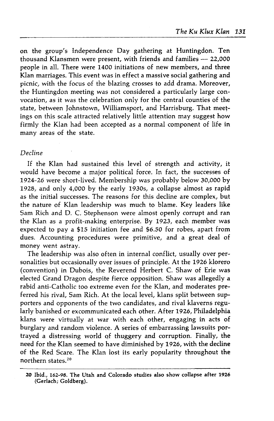on the group's Independence Day gathering at Huntingdon. Ten thousand Klansmen were present, with friends and families — 22,000 people in all. There were 1400 initiations of new members, and three Klan marriages. This event was ineffect a massive social gathering and picnic, with the focus of the blazing crosses to add drama. Moreover, the Huntingdon meeting was not considered a particularly large convocation, as it was the celebration only for the central counties of the state, between Johnstown, Williamsport, and Harrisburg. That meetings on this scale attracted relatively little attention may suggest how firmly the Klan had been accepted as <sup>a</sup> normal component of life in many areas of the state.

# Decline

If the Klan had sustained this level of strength and activity, it would have become a major political force. In fact, the successes of 1924-26 were short-lived. Membership was probably below 30,000 by 1928, and only 4,000 by the early 1930s, a collapse almost as rapid as the initial successes. The reasons for this decline are complex, but the nature of Klan leadership was much to blame. Key leaders like Sam Rich and D. C. Stephenson were almost openly corrupt and ran the Klan as a profit-making enterprise. By 1923, each member was expected to pay a \$15 initiation fee and \$6.50 for robes, apart from dues. Accounting procedures were primitive, and a great deal of money went astray.

The leadership was also often in internal conflict, usually over personalities but occasionally over issues of principle. At the 1926 klorero (convention) in Dubois, the Reverend Herbert C. Shaw of Erie was elected Grand Dragon despite fierce opposition. Shaw was allegedly a rabid anti-Catholic too extreme even for the Klan, and moderates preferred his rival, Sam Rich. At the local level, klans split between supporters and opponents of the two candidates, and rival klaverns regularly banished or excommunicated each other. After 1926, Philadelphia klans were virtually at war with each other, engaging in acts of burglary and random violence. A series of embarrassing lawsuits portrayed a distressing world of thuggery and corruption. Finally, the need for the Klan seemed to have diminished by 1926, with the decline of the Red Scare. The Klan lost its early popularity throughout the northern states. <sup>20</sup>

<sup>20</sup> Ibid., 162-98. The Utah and Colorado studies also show collapse after 1926 (Gerlach; Goldberg).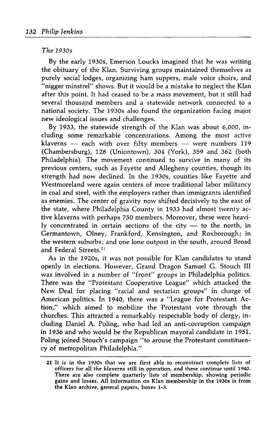#### The 1930s

By the early 1930s, Emerson Loucks imagined that he was writing the obituary of the Klan. Surviving groups maintained themselves as purely social lodges, organizing ham suppers, male voice choirs, and "nigger minstrel" shows. But it would be a mistake to neglect the Klan after this point. It had ceased to be a mass movement, but it still had several thousand members and a statewide network connected to a national society. The 1930s also found the organization facing major new ideological issues and challenges.

By 1933, the statewide strength of the Klan was about 6,000, including some remarkable concentrations. Among the most active klaverns — each with over fifty members — were numbers 119 (Chambersburg), 128 (Uniontown), 304 (York), 359 and 362 (both Philadelphia). The movement continued to survive in many of its previous centers, such as Fayette and Allegheny counties, though its strength had now declined. In the 1930s, counties like Fayette and Westmoreland were again centers of more traditional labor militancy in coal and steel, with the employers rather than immigrants identified as enemies. The center of gravity now shifted decisively to the east of the state, where Philadelphia County in 1933 had almost twenty active klaverns with perhaps 750 members. Moreover, these were heavily concentrated in certain sections of the city — to the north, in Germantown, Olney, Frankford, Kensington, and Roxborough; in the western suburbs; and one lone outpost in the south, around Broad and Federal Streets.<sup>21</sup>

As in the 1920s, it was not possible for Klan candidates to stand openly in elections. However, Grand Dragon Samuel G. Stouch III was involved in a number of "front" groups in Philadelphia politics. There was the "Protestant Cooperative League" which attacked the New Deal for placing "racial and sectarian groups" in charge of American politics. In 1940, there was <sup>a</sup> "League for Protestant Action," which aimed to mobilize the Protestant vote through the churches. This attracted a remarkably respectable body of clergy, including Daniel A. Poling, who had led an anti-corruption campaign in 1936 and who would be the Republican mayoral candidate in 1951. Poling joined Stouch's campaign "to arouse the Protestant constituency of metropolitan Philadelphia."

<sup>21</sup> It is in the 1930s that we are first able to reconstruct complete lists of officers for all the klaverns still in operation, and these continue until 1940. There are also complete quarterly lists of membership, showing periodic gains and losses. Allinformation on Klan membership in the 1930s is from the Klan archive, general papers, boxes 1-3.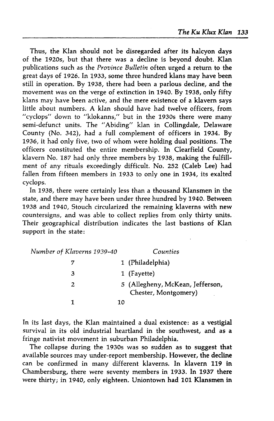Thus, the Klan should not be disregarded after its halcyon days of the 1920s, but that there was a decline is beyond doubt. Klan publications such as the Province Bulletin often urged a return to the great days of 1926. In 1933, some three hundred klans may have been still inoperation. By 1938, there had been a parlous decline, and the movement was on the verge of extinction in1940. By 1938, only fifty klans may have been active, and the mere existence of a klavern says little about numbers. A klan should have had twelve officers, from "cyclops" down to "klokanns," but in the 1930s there were many semi-defunct units. The "Abiding" klan in Collingdale, Delaware County (No. 342), had <sup>a</sup> full complement of officers in 1934. By 1936, it had only five, two of whom were holding dual positions. The officers constituted the entire membership. In Clearfield County, klavern No. 187 had only three members by 1938, making the fulfillment of any rituals exceedingly difficult. No. 252 (Caleb Lee) had fallen from fifteen members in <sup>1933</sup> to only one in 1934, its exalted cyclops.

In 1938, there were certainly less than a thousand Klansmen in the state, and there may have been under three hundred by1940. Between 1938 and 1940, Stouch circularized the remaining klaverns with new countersigns, and was able to collect replies from only thirty units. Their geographical distribution indicates the last bastions of Klan support in the state:

| Number of Klaverns 1939-40 |    | Counties                                                 |  |
|----------------------------|----|----------------------------------------------------------|--|
|                            |    | 1 (Philadelphia)                                         |  |
| З                          |    | 1 (Fayette)                                              |  |
| 2                          |    | 5 (Allegheny, McKean, Jefferson,<br>Chester, Montgomery) |  |
|                            | 10 |                                                          |  |

In its last days, the Klan maintained a dual existence: as a vestigial survival in its old industrial heartland in the southwest, and as a fringe nativist movement in suburban Philadelphia.

The collapse during the 1930s was so sudden as to suggest that available sources may under-report membership. However, the decline can be confirmed in many different klaverns. In klavern <sup>119</sup> in Chambersburg, there were seventy members in 1933. In <sup>1937</sup> there were thirty; in1940, only eighteen. Uniontown had 101 Klansmen in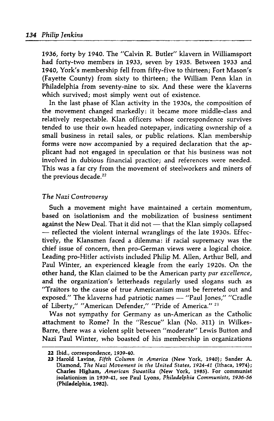1936, forty by 1940. The "Calvin R. Butler" klavern in Williamsport had forty-two members in 1933, seven by 1935. Between 1933 and 1940, York's membership fell from fifty-five to thirteen; Fort Mason's (Fayette County) from sixty to thirteen; the William Penn klan in Philadelphia from seventy-nine to six. And these were the klaverns which survived; most simply went out of existence.

In the last phase of Klan activity in the 1930s, the composition of the movement changed markedly: it became more middle-class and relatively respectable. Klan officers whose correspondence survives tended to use their own headed notepaper, indicating ownership of a small business in retail sales, or public relations. Klan membership forms were now accompanied by a required declaration that the applicant had not engaged in speculation or that his business was not involved in dubious financial practice; and references were needed. This was a far cry from the movement of steelworkers and miners of the previous decade.<sup>22</sup>

#### The Nazi Controversy

Such a movement might have maintained a certain momentum, based on isolationism and the mobilization of business sentiment against the New Deal. That it did not - that the Klan simply collapsed - reflected the violent internal wranglings of the late 1930s. Effectively, the Klansmen faced a dilemma: if racial supremacy was the chief issue of concern, then pro-German views were a logical choice. Leading pro-Hitler activists included Philip M. Allen, Arthur Bell, and Paul Winter, an experienced kleagle from the early 1920s. On the other hand, the Klan claimed to be the American party par excellence, and the organization's letterheads regularly used slogans such as "Traitors to the cause of true Americanism must be ferreted out and exposed." The klaverns had patriotic names — "Paul Jones," "Cradle of Liberty," "American Defender," "Pride of America."<sup>23</sup>

Was not sympathy for Germany as un-American as the Catholic attachment to Rome? In the "Rescue" klan (No. 311) in Wilkes-Barre, there was a violent split between "moderate" Lewis Button and Nazi Paul Winter, who boasted of his membership in organizations

<sup>22</sup> Ibid., correspondence, 1939-40.

<sup>23</sup> Harold Lavine, Fifth Column in America (New York, 1940); Sander A. Diamond, The Nazi Movement in the United States, 1924-41 (Ithaca, 1974); Charles Higham, American Swastika (New York, 1985). For communist isolationism in1939-41, see Paul Lyons, Philadelphia Communists, 1936-56 (Philadelphia, 1982).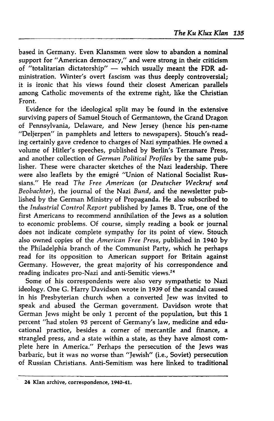based inGermany. Even Klansmen were slow to abandon a nominal support for "American democracy," and were strong in their criticism of "totalitarian dictatorship" — which usually meant the FDR administration. Winter's overt fascism was thus deeply controversial; it is ironic that his views found their closest American parallels among Catholic movements of the extreme right, like the Christian Front.

Evidence for the ideological split may be found in the extensive surviving papers of Samuel Stouch of Germantown, the Grand Dragon of Pennsylvania, Delaware, and New Jersey (hence his pen-name "Delierpen" in pamphlets and letters to newspapers). Stouch's reading certainly gave credence to charges of Nazi sympathies. He owned a volume of Hitler's speeches, published by Berlin's Terramare Press, and another collection of German Political Profiles by the same publisher. These were character sketches of the Nazi leadership. There were also leaflets by the emigre "Union of National Socialist Russians." He read The Free American (or Deutscher Weckruf und Beobachter), the journal of the Nazi Bund, and the newsletter published by the German Ministry of Propaganda. He also subscribed to the Industrial Control Report published by James B. True, one of the first Americans to recommend annihilation of the Jews as a solution to economic problems. Of course, simply reading a book or journal does not indicate complete sympathy for its point of view. Stouch also owned copies of the American Free Press, published in<sup>1940</sup> by the Philadelphia branch of the Communist Party, which he perhaps read for its opposition to American support for Britain against Germany. However, the great majority of his correspondence and reading indicates pro-Nazi and anti-Semitic views.<sup>24</sup>

Some of his correspondents were also very sympathetic to Nazi ideology. One G. Harry Davidson wrote in 1939 of the scandal caused in his Presbyterian church when a converted Jew was invited to speak and abused the German government. Davidson wrote that German Jews might be only 1 percent of the population, but this 1 percent "had stolen 95 percent of Germany's law, medicine and educational practice, besides a corner of mercantile and finance, a strangled press, and a state within a state, as they have almost complete here in America." Perhaps the persecution of the Jews was barbaric, but it was no worse than "Iewish" (i.e., Soviet) persecution of Russian Christians. Anti-Semitism was here linked to traditional

<sup>24</sup> Klan archive, correspondence, 1940-41.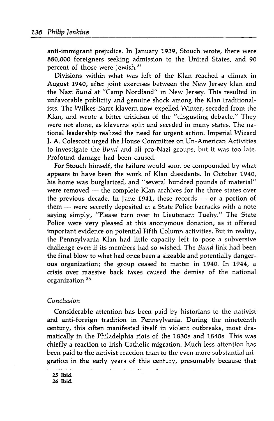anti-immigrant prejudice. In January 1939, Stouch wrote, there were 880,000 foreigners seeking admission to the United States, and 90 percent of those were Jewish.<sup>25</sup>

Divisions within what was left of the Klan reached a climax in August 1940, after joint exercises between the New Jersey klan and the Nazi Bund at "Camp Nordland" in New Jersey. This resulted in unfavorable publicity and genuine shock among the Klan traditionalists. The Wilkes-Barre klavern now expelled Winter, seceded from the Klan, and wrote a bitter criticism of the "disgusting debacle." They were not alone, as klaverns split and seceded in many states. The national leadership realized the need for urgent action. Imperial Wizard J. A.Colescott urged the House Committee on Un-American Activities to investigate the Bund and all pro-Nazi groups, but it was too late. Profound damage had been caused.

For Stouch himself, the failure would soon be compounded by what appears to have been the work of Klan dissidents. In October 1940, his home was burglarized, and "several hundred pounds of material" were removed — the complete Klan archives for the three states over the previous decade. In June 1941, these records — or <sup>a</sup> portion of them — were secretly deposited at <sup>a</sup> State Police barracks with <sup>a</sup> note saying simply, "Please turn over to Lieutenant Tuehy." The State Police were very pleased at this anonymous donation, as it offered important evidence on potential Fifth Column activities. But in reality, the Pennsylvania Klan had little capacity left to pose a subversive challenge even if its members had so wished. The Bund link had been the final blow to what had once been a sizeable and potentially dangerous organization; the group ceased to matter in 1940. In 1944, <sup>a</sup> crisis over massive back taxes caused the demise of the national organization.<sup>26</sup>

# Conclusion

Considerable attention has been paid by historians to the nativist and anti-foreign tradition in Pennsylvania. During the nineteenth century, this often manifested itself in violent outbreaks, most dramatically in the Philadelphia riots of the 1830s and 1840s. This was chiefly a reaction to Irish Catholic migration. Much less attention has been paid to the nativist reaction than to the even more substantial migration in the early years of this century, presumably because that

<sup>25</sup> Ibid. 26 Ibid.